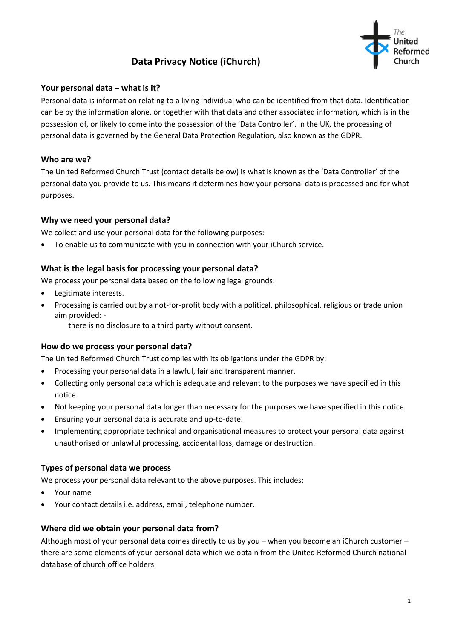# **Data Privacy Notice (iChurch)**



## **Your personal data – what is it?**

Personal data is information relating to a living individual who can be identified from that data. Identification can be by the information alone, or together with that data and other associated information, which is in the possession of, or likely to come into the possession of the 'Data Controller'. In the UK, the processing of personal data is governed by the General Data Protection Regulation, also known as the GDPR.

## **Who are we?**

The United Reformed Church Trust (contact details below) is what is known as the 'Data Controller' of the personal data you provide to us. This means it determines how your personal data is processed and for what purposes.

## **Why we need your personal data?**

We collect and use your personal data for the following purposes:

• To enable us to communicate with you in connection with your iChurch service.

## **What is the legal basis for processing your personal data?**

We process your personal data based on the following legal grounds:

- Legitimate interests.
- Processing is carried out by a not-for-profit body with a political, philosophical, religious or trade union aim provided: -

there is no disclosure to a third party without consent.

## **How do we process your personal data?**

The United Reformed Church Trust complies with its obligations under the GDPR by:

- Processing your personal data in a lawful, fair and transparent manner.
- Collecting only personal data which is adequate and relevant to the purposes we have specified in this notice.
- Not keeping your personal data longer than necessary for the purposes we have specified in this notice.
- Ensuring your personal data is accurate and up-to-date.
- Implementing appropriate technical and organisational measures to protect your personal data against unauthorised or unlawful processing, accidental loss, damage or destruction.

## **Types of personal data we process**

We process your personal data relevant to the above purposes. This includes:

- Your name
- Your contact details i.e. address, email, telephone number.

## **Where did we obtain your personal data from?**

Although most of your personal data comes directly to us by you – when you become an iChurch customer – there are some elements of your personal data which we obtain from the United Reformed Church national database of church office holders.